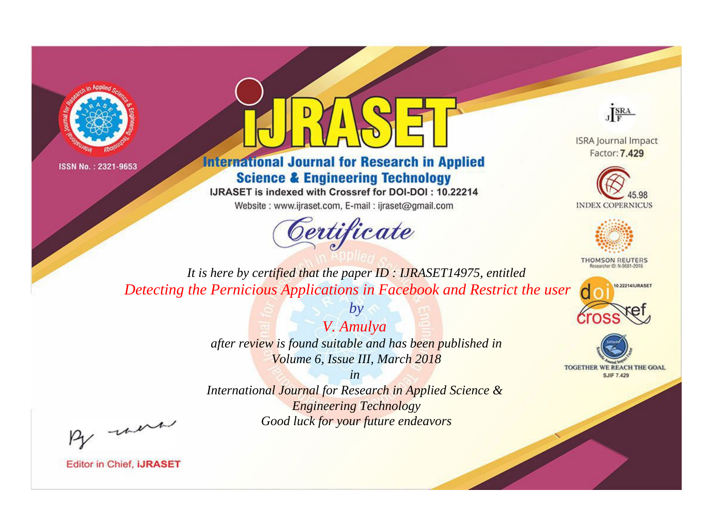



**International Journal for Research in Applied Science & Engineering Technology** 

IJRASET is indexed with Crossref for DOI-DOI: 10.22214

Website: www.ijraset.com, E-mail: ijraset@gmail.com



JERA

**ISRA Journal Impact** Factor: 7.429





**THOMSON REUTERS** 



TOGETHER WE REACH THE GOAL **SJIF 7.429** 

*It is here by certified that the paper ID : IJRASET14975, entitled Detecting the Pernicious Applications in Facebook and Restrict the user*

> *V. Amulya after review is found suitable and has been published in Volume 6, Issue III, March 2018*

*by*

*in* 

*International Journal for Research in Applied Science & Engineering Technology Good luck for your future endeavors*

By morn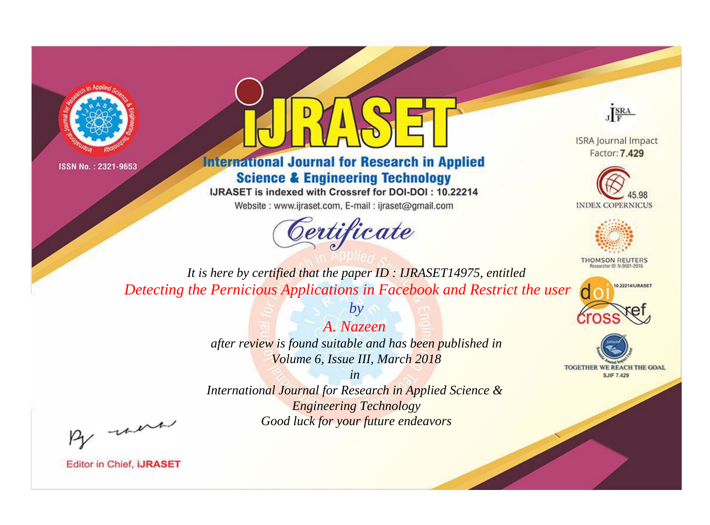



**International Journal for Research in Applied Science & Engineering Technology** 

IJRASET is indexed with Crossref for DOI-DOI: 10.22214

Website: www.ijraset.com, E-mail: ijraset@gmail.com



JERA

**ISRA Journal Impact** Factor: 7.429





**THOMSON REUTERS** 



TOGETHER WE REACH THE GOAL **SJIF 7.429** 

*It is here by certified that the paper ID : IJRASET14975, entitled Detecting the Pernicious Applications in Facebook and Restrict the user*

> *A. Nazeen after review is found suitable and has been published in Volume 6, Issue III, March 2018*

*by*

*in* 

*International Journal for Research in Applied Science & Engineering Technology Good luck for your future endeavors*

By morn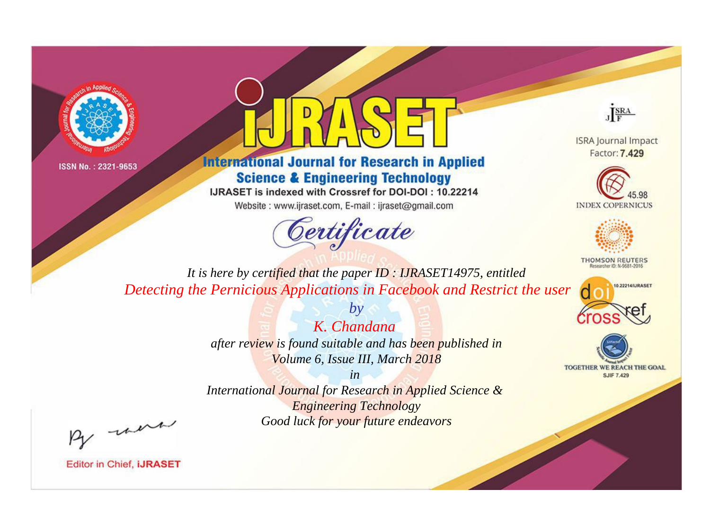



**International Journal for Research in Applied Science & Engineering Technology** 

IJRASET is indexed with Crossref for DOI-DOI: 10.22214

Website: www.ijraset.com, E-mail: ijraset@gmail.com



JERA

**ISRA Journal Impact** Factor: 7.429





**THOMSON REUTERS** 



TOGETHER WE REACH THE GOAL **SJIF 7.429** 

*It is here by certified that the paper ID : IJRASET14975, entitled Detecting the Pernicious Applications in Facebook and Restrict the user*

> *K. Chandana after review is found suitable and has been published in Volume 6, Issue III, March 2018*

*by*

*in* 

*International Journal for Research in Applied Science & Engineering Technology Good luck for your future endeavors*

By morn